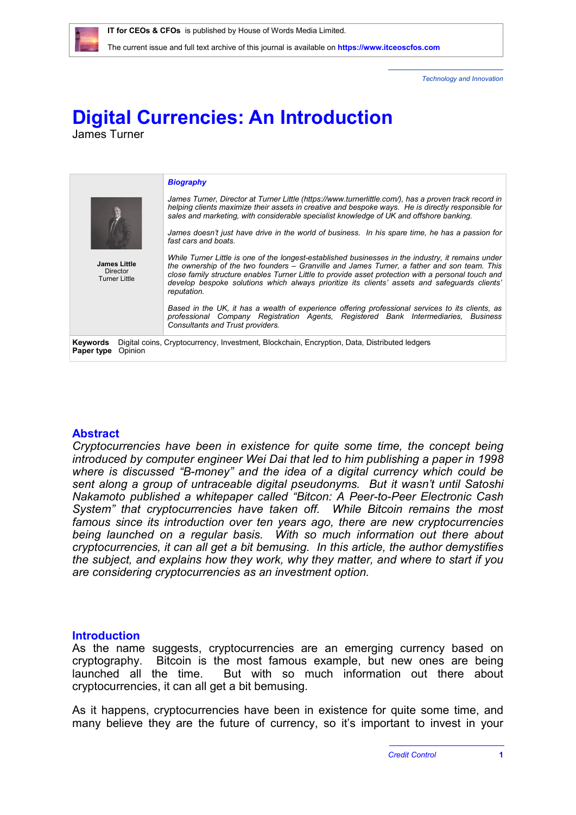

*Technology and Innovation*

# **Digital Currencies: An Introduction**

James Turner

|                                                                                                                                   | <b>Biography</b>                                                                                                                                                                                                                                                                                                                                                                                                        |
|-----------------------------------------------------------------------------------------------------------------------------------|-------------------------------------------------------------------------------------------------------------------------------------------------------------------------------------------------------------------------------------------------------------------------------------------------------------------------------------------------------------------------------------------------------------------------|
|                                                                                                                                   | James Turner, Director at Turner Little (https://www.turnerlittle.com/), has a proven track record in<br>helping clients maximize their assets in creative and bespoke ways. He is directly responsible for<br>sales and marketing, with considerable specialist knowledge of UK and offshore banking.                                                                                                                  |
|                                                                                                                                   | James doesn't just have drive in the world of business. In his spare time, he has a passion for<br>fast cars and boats.                                                                                                                                                                                                                                                                                                 |
| <b>James Little</b><br><b>Director</b><br><b>Turner Little</b>                                                                    | While Turner Little is one of the longest-established businesses in the industry, it remains under<br>the ownership of the two founders – Granville and James Turner, a father and son team. This<br>close family structure enables Turner Little to provide asset protection with a personal touch and<br>develop bespoke solutions which always prioritize its clients' assets and safequards clients'<br>reputation. |
|                                                                                                                                   | Based in the UK, it has a wealth of experience offering professional services to its clients, as<br>professional Company Registration Agents, Registered Bank Intermediaries. Business<br>Consultants and Trust providers.                                                                                                                                                                                              |
| Keywords<br>Digital coins, Cryptocurrency, Investment, Blockchain, Encryption, Data, Distributed ledgers<br>Opinion<br>Paper type |                                                                                                                                                                                                                                                                                                                                                                                                                         |

# **Abstract**

*Cryptocurrencies have been in existence for quite some time, the concept being introduced by computer engineer Wei Dai that led to him publishing a paper in 1998 where is discussed "B-money" and the idea of a digital currency which could be sent along a group of untraceable digital pseudonyms. But it wasn't until Satoshi Nakamoto published a whitepaper called "Bitcon: A Peer-to-Peer Electronic Cash System" that cryptocurrencies have taken off. While Bitcoin remains the most famous since its introduction over ten years ago, there are new cryptocurrencies being launched on a regular basis. With so much information out there about cryptocurrencies, it can all get a bit bemusing. In this article, the author demystifies the subject, and explains how they work, why they matter, and where to start if you are considering cryptocurrencies as an investment option.*

### **Introduction**

As the name suggests, cryptocurrencies are an emerging currency based on cryptography. Bitcoin is the most famous example, but new ones are being But with so much information out there about cryptocurrencies, it can all get a bit bemusing.

As it happens, cryptocurrencies have been in existence for quite some time, and many believe they are the future of currency, so it's important to invest in your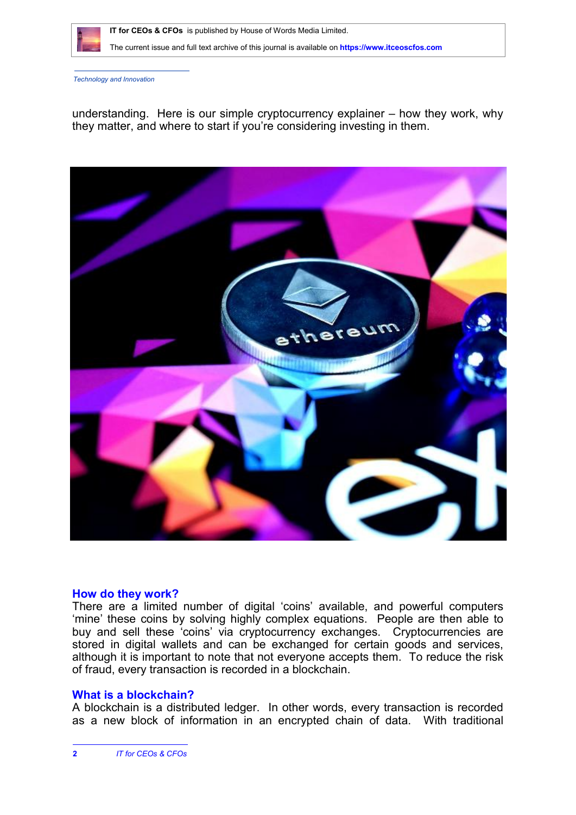

The current issue and full text archive of this journal is available on **<https://www.itceoscfos.com>** 

*Technology and Innovation*

understanding. Here is our simple cryptocurrency explainer – how they work, why they matter, and where to start if you're considering investing in them.



# **How do they work?**

There are a limited number of digital 'coins' available, and powerful computers 'mine' these coins by solving highly complex equations. People are then able to buy and sell these 'coins' via cryptocurrency exchanges. Cryptocurrencies are stored in digital wallets and can be exchanged for certain goods and services, although it is important to note that not everyone accepts them. To reduce the risk of fraud, every transaction is recorded in a blockchain.

# **What is a blockchain?**

A blockchain is a distributed ledger. In other words, every transaction is recorded as a new block of information in an encrypted chain of data. With traditional